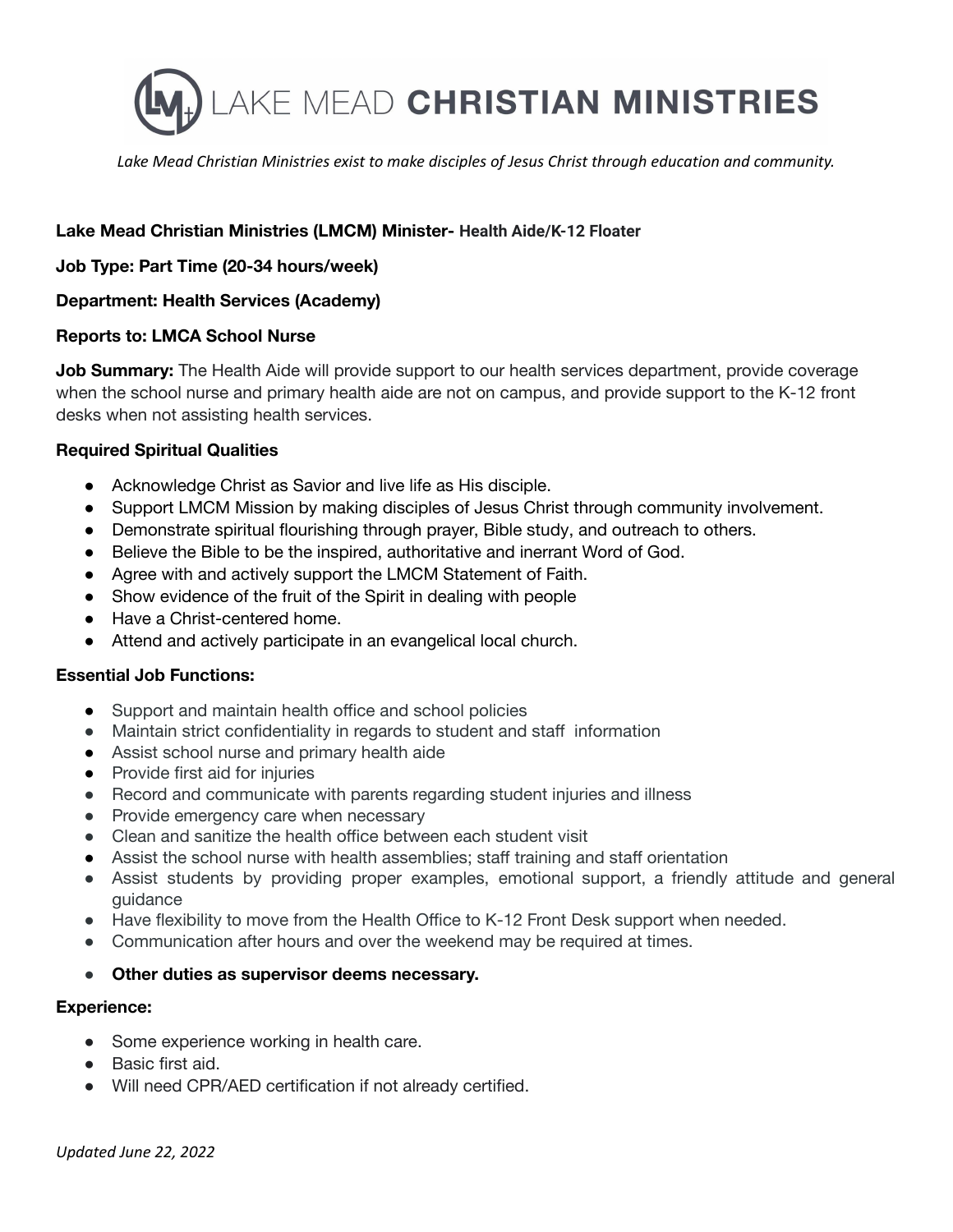

*Lake Mead Christian Ministries exist to make disciples of Jesus Christ through education and community.*

# **Lake Mead Christian Ministries (LMCM) Minister- Health Aide/K-12 Floater**

**Job Type: Part Time (20-34 hours/week)**

### **Department: Health Services (Academy)**

### **Reports to: LMCA School Nurse**

**Job Summary:** The Health Aide will provide support to our health services department, provide coverage when the school nurse and primary health aide are not on campus, and provide support to the K-12 front desks when not assisting health services.

### **Required Spiritual Qualities**

- Acknowledge Christ as Savior and live life as His disciple.
- Support LMCM Mission by making disciples of Jesus Christ through community involvement.
- Demonstrate spiritual flourishing through prayer, Bible study, and outreach to others.
- Believe the Bible to be the inspired, authoritative and inerrant Word of God.
- Agree with and actively support the LMCM Statement of Faith.
- Show evidence of the fruit of the Spirit in dealing with people
- Have a Christ-centered home.
- Attend and actively participate in an evangelical local church.

### **Essential Job Functions:**

- Support and maintain health office and school policies
- Maintain strict confidentiality in regards to student and staff information
- Assist school nurse and primary health aide
- Provide first aid for injuries
- Record and communicate with parents regarding student injuries and illness
- Provide emergency care when necessary
- Clean and sanitize the health office between each student visit
- Assist the school nurse with health assemblies; staff training and staff orientation
- Assist students by providing proper examples, emotional support, a friendly attitude and general guidance
- Have flexibility to move from the Health Office to K-12 Front Desk support when needed.
- Communication after hours and over the weekend may be required at times.
- **Other duties as supervisor deems necessary.**

### **Experience:**

- Some experience working in health care.
- Basic first aid.
- Will need CPR/AED certification if not already certified.